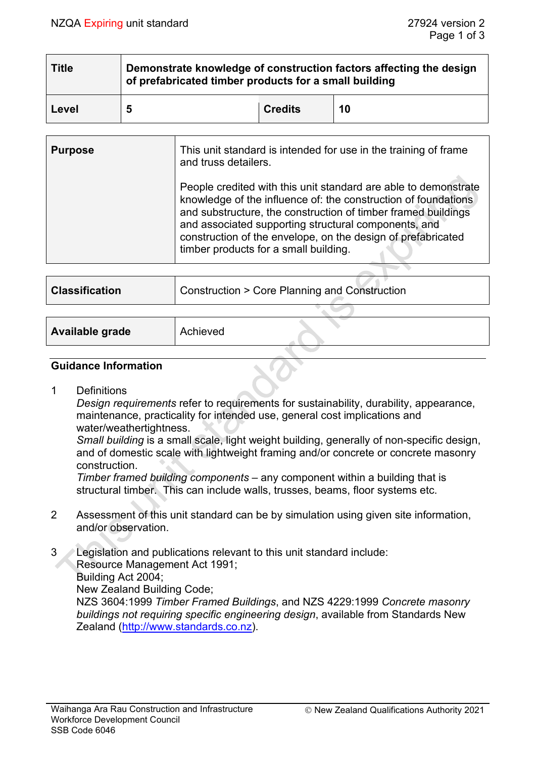| <b>Title</b> | Demonstrate knowledge of construction factors affecting the design<br>of prefabricated timber products for a small building |                |    |  |  |
|--------------|-----------------------------------------------------------------------------------------------------------------------------|----------------|----|--|--|
| Level        | 5                                                                                                                           | <b>Credits</b> | 10 |  |  |

| <b>Purpose</b> | This unit standard is intended for use in the training of frame<br>and truss detailers.                                                                                                                                                                                                                                                                             |
|----------------|---------------------------------------------------------------------------------------------------------------------------------------------------------------------------------------------------------------------------------------------------------------------------------------------------------------------------------------------------------------------|
|                | People credited with this unit standard are able to demonstrate<br>knowledge of the influence of: the construction of foundations<br>and substructure, the construction of timber framed buildings<br>and associated supporting structural components, and<br>construction of the envelope, on the design of prefabricated<br>timber products for a small building. |

| <b>Classification</b> | Construction > Core Planning and Construction |  |  |
|-----------------------|-----------------------------------------------|--|--|
|                       |                                               |  |  |
|                       |                                               |  |  |

| Available grade | Achieved |  |
|-----------------|----------|--|
|                 |          |  |

# **Guidance Information**

1 Definitions

*Design requirements* refer to requirements for sustainability, durability, appearance, maintenance, practicality for intended use, general cost implications and water/weathertightness.

*Small building* is a small scale, light weight building, generally of non-specific design, and of domestic scale with lightweight framing and/or concrete or concrete masonry construction.

*Timber framed building components –* any component within a building that is structural timber. This can include walls, trusses, beams, floor systems etc.

2 Assessment of this unit standard can be by simulation using given site information, and/or observation.

3 Legislation and publications relevant to this unit standard include: Resource Management Act 1991; Building Act 2004; New Zealand Building Code; NZS 3604:1999 *Timber Framed Buildings*, and NZS 4229:1999 *Concrete masonry buildings not requiring specific engineering design*, available from Standards New

Zealand [\(http://www.standards.co.nz\)](http://www.standards.co.nz/).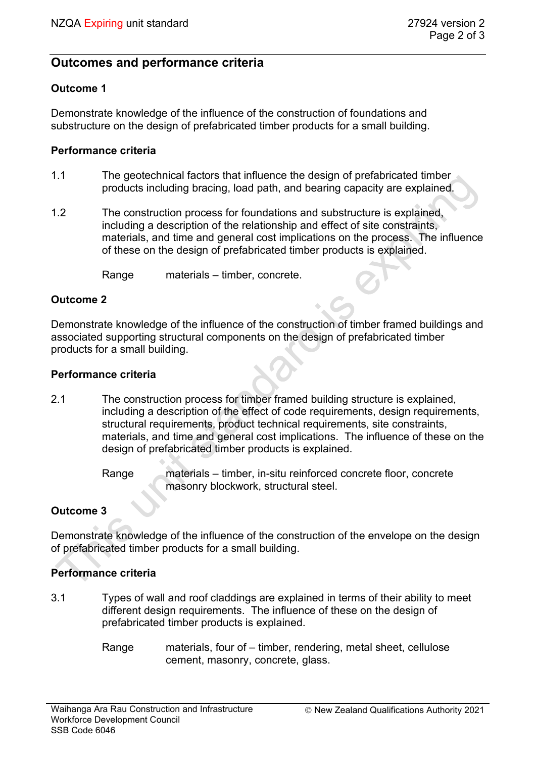# **Outcomes and performance criteria**

# **Outcome 1**

Demonstrate knowledge of the influence of the construction of foundations and substructure on the design of prefabricated timber products for a small building.

## **Performance criteria**

- 1.1 The geotechnical factors that influence the design of prefabricated timber products including bracing, load path, and bearing capacity are explained.
- 1.2 The construction process for foundations and substructure is explained, including a description of the relationship and effect of site constraints, materials, and time and general cost implications on the process. The influence of these on the design of prefabricated timber products is explained.

Range materials – timber, concrete.

## **Outcome 2**

Demonstrate knowledge of the influence of the construction of timber framed buildings and associated supporting structural components on the design of prefabricated timber products for a small building.

#### **Performance criteria**

- 2.1 The construction process for timber framed building structure is explained, including a description of the effect of code requirements, design requirements, structural requirements, product technical requirements, site constraints, materials, and time and general cost implications. The influence of these on the design of prefabricated timber products is explained.
	- Range materials timber, in-situ reinforced concrete floor, concrete masonry blockwork, structural steel.

# **Outcome 3**

Demonstrate knowledge of the influence of the construction of the envelope on the design of prefabricated timber products for a small building.

# **Performance criteria**

- 3.1 Types of wall and roof claddings are explained in terms of their ability to meet different design requirements. The influence of these on the design of prefabricated timber products is explained.
	- Range materials, four of timber, rendering, metal sheet, cellulose cement, masonry, concrete, glass.